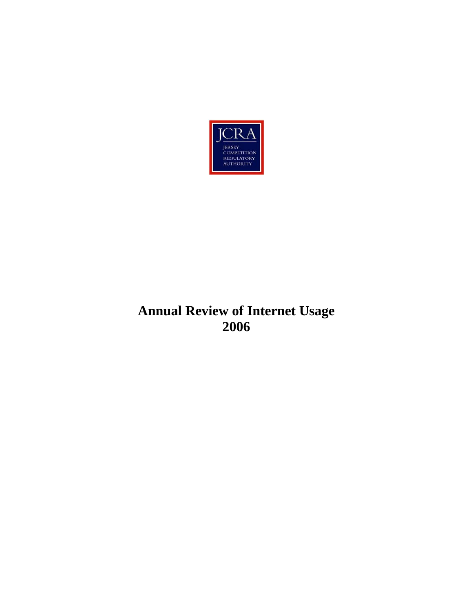

# **Annual Review of Internet Usage 2006**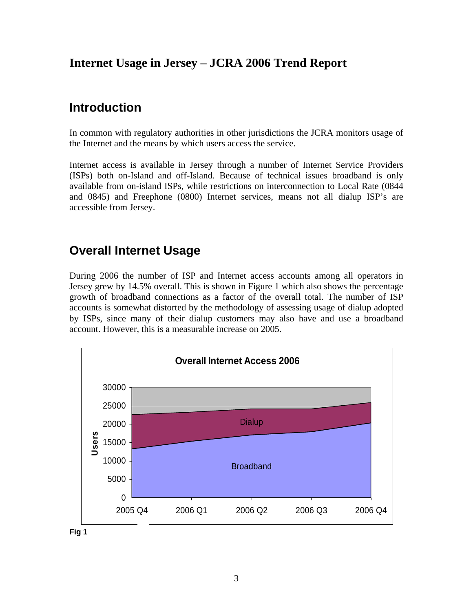## <span id="page-2-0"></span>**Internet Usage in Jersey – JCRA 2006 Trend Report**

## **Introduction**

In common with regulatory authorities in other jurisdictions the JCRA monitors usage of the Internet and the means by which users access the service.

Internet access is available in Jersey through a number of Internet Service Providers (ISPs) both on-Island and off-Island. Because of technical issues broadband is only available from on-island ISPs, while restrictions on interconnection to Local Rate (0844 and 0845) and Freephone (0800) Internet services, means not all dialup ISP's are accessible from Jersey.

## **Overall Internet Usage**

During 2006 the number of ISP and Internet access accounts among all operators in Jersey grew by 14.5% overall. This is shown in Figure 1 which also shows the percentage growth of broadband connections as a factor of the overall total. The number of ISP accounts is somewhat distorted by the methodology of assessing usage of dialup adopted by ISPs, since many of their dialup customers may also have and use a broadband account. However, this is a measurable increase on 2005.

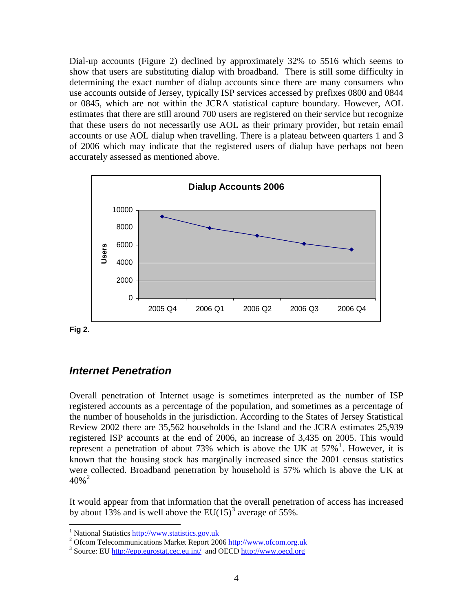<span id="page-3-0"></span>Dial-up accounts (Figure 2) declined by approximately 32% to 5516 which seems to show that users are substituting dialup with broadband. There is still some difficulty in determining the exact number of dialup accounts since there are many consumers who use accounts outside of Jersey, typically ISP services accessed by prefixes 0800 and 0844 or 0845, which are not within the JCRA statistical capture boundary. However, AOL estimates that there are still around 700 users are registered on their service but recognize that these users do not necessarily use AOL as their primary provider, but retain email accounts or use AOL dialup when travelling. There is a plateau between quarters 1 and 3 of 2006 which may indicate that the registered users of dialup have perhaps not been accurately assessed as mentioned above.



**Fig 2.**

 $\overline{a}$ 

#### *Internet Penetration*

Overall penetration of Internet usage is sometimes interpreted as the number of ISP registered accounts as a percentage of the population, and sometimes as a percentage of the number of households in the jurisdiction. According to the States of Jersey Statistical Review 2002 there are 35,562 households in the Island and the JCRA estimates 25,939 registered ISP accounts at the end of 2006, an increase of 3,435 on 2005. This would represent a penetration of about 73% which is above the UK at  $57\%$ <sup>[1](#page-3-1)</sup>. However, it is known that the housing stock has marginally increased since the 2001 census statistics were collected. Broadband penetration by household is 57% which is above the UK at  $40\%$ <sup>[2](#page-3-2)</sup>

It would appear from that information that the overall penetration of access has increased by about 1[3](#page-3-3)% and is well above the  $EU(15)^3$  average of 55%.

<span id="page-3-1"></span><sup>&</sup>lt;sup>1</sup> National Statistics  $\frac{http://www.statistics.gov.uk}{http://www.statistics.gov.uk}$ <br>
<sup>2</sup> Of com Talacommunications Market Benert 200

<span id="page-3-2"></span><sup>&</sup>lt;sup>2</sup> Ofcom Telecommunications Market Report 2006 http://www.ofcom.org.uk

<span id="page-3-3"></span><sup>&</sup>lt;sup>3</sup> Source: EU<http://epp.eurostat.cec.eu.int/>and OECD http://www.oecd.org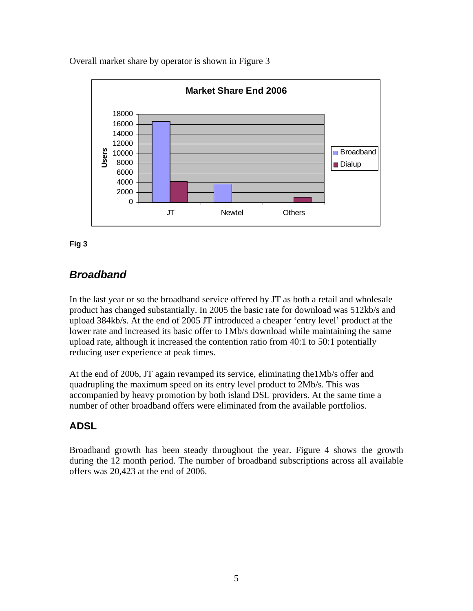<span id="page-4-0"></span>Overall market share by operator is shown in Figure 3



#### **Fig 3**

### *Broadband*

In the last year or so the broadband service offered by JT as both a retail and wholesale product has changed substantially. In 2005 the basic rate for download was 512kb/s and upload 384kb/s. At the end of 2005 JT introduced a cheaper 'entry level' product at the lower rate and increased its basic offer to 1Mb/s download while maintaining the same upload rate, although it increased the contention ratio from 40:1 to 50:1 potentially reducing user experience at peak times.

At the end of 2006, JT again revamped its service, eliminating the1Mb/s offer and quadrupling the maximum speed on its entry level product to 2Mb/s. This was accompanied by heavy promotion by both island DSL providers. At the same time a number of other broadband offers were eliminated from the available portfolios.

### **ADSL**

Broadband growth has been steady throughout the year. Figure 4 shows the growth during the 12 month period. The number of broadband subscriptions across all available offers was 20,423 at the end of 2006.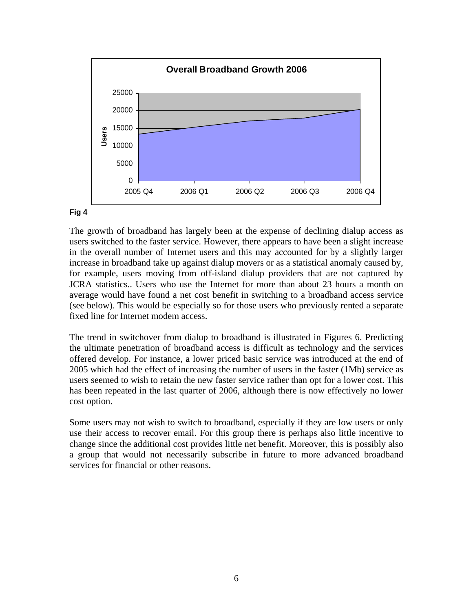

#### **Fig 4**

The growth of broadband has largely been at the expense of declining dialup access as users switched to the faster service. However, there appears to have been a slight increase in the overall number of Internet users and this may accounted for by a slightly larger increase in broadband take up against dialup movers or as a statistical anomaly caused by, for example, users moving from off-island dialup providers that are not captured by JCRA statistics.. Users who use the Internet for more than about 23 hours a month on average would have found a net cost benefit in switching to a broadband access service (see below). This would be especially so for those users who previously rented a separate fixed line for Internet modem access.

The trend in switchover from dialup to broadband is illustrated in Figures 6. Predicting the ultimate penetration of broadband access is difficult as technology and the services offered develop. For instance, a lower priced basic service was introduced at the end of 2005 which had the effect of increasing the number of users in the faster (1Mb) service as users seemed to wish to retain the new faster service rather than opt for a lower cost. This has been repeated in the last quarter of 2006, although there is now effectively no lower cost option.

Some users may not wish to switch to broadband, especially if they are low users or only use their access to recover email. For this group there is perhaps also little incentive to change since the additional cost provides little net benefit. Moreover, this is possibly also a group that would not necessarily subscribe in future to more advanced broadband services for financial or other reasons.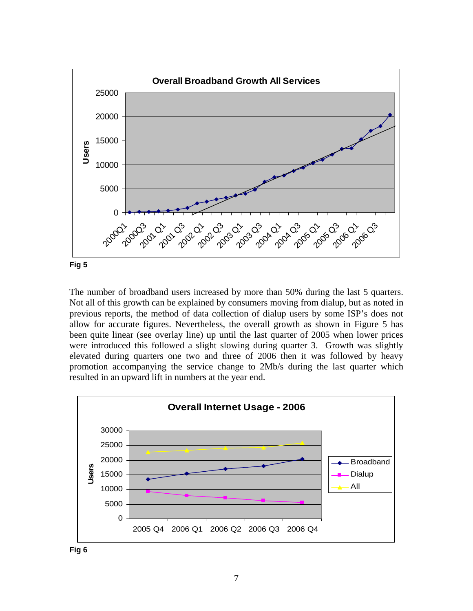

The number of broadband users increased by more than 50% during the last 5 quarters. Not all of this growth can be explained by consumers moving from dialup, but as noted in previous reports, the method of data collection of dialup users by some ISP's does not allow for accurate figures. Nevertheless, the overall growth as shown in Figure 5 has been quite linear (see overlay line) up until the last quarter of 2005 when lower prices were introduced this followed a slight slowing during quarter 3. Growth was slightly elevated during quarters one two and three of 2006 then it was followed by heavy promotion accompanying the service change to 2Mb/s during the last quarter which resulted in an upward lift in numbers at the year end.

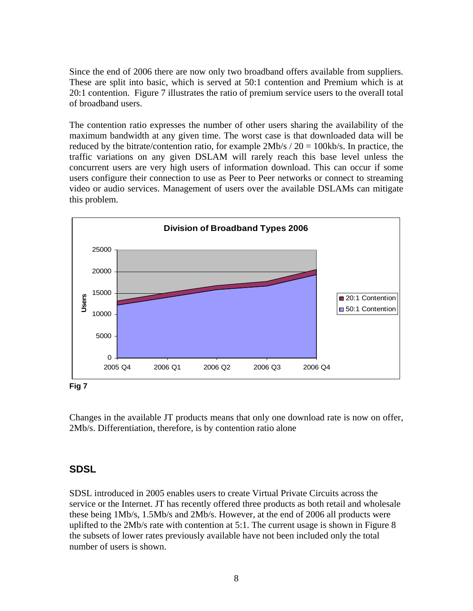<span id="page-7-0"></span>Since the end of 2006 there are now only two broadband offers available from suppliers. These are split into basic, which is served at 50:1 contention and Premium which is at 20:1 contention. Figure 7 illustrates the ratio of premium service users to the overall total of broadband users.

The contention ratio expresses the number of other users sharing the availability of the maximum bandwidth at any given time. The worst case is that downloaded data will be reduced by the bitrate/contention ratio, for example  $2Mb/s / 20 = 100kb/s$ . In practice, the traffic variations on any given DSLAM will rarely reach this base level unless the concurrent users are very high users of information download. This can occur if some users configure their connection to use as Peer to Peer networks or connect to streaming video or audio services. Management of users over the available DSLAMs can mitigate this problem.



**Fig 7**

Changes in the available JT products means that only one download rate is now on offer, 2Mb/s. Differentiation, therefore, is by contention ratio alone

### **SDSL**

SDSL introduced in 2005 enables users to create Virtual Private Circuits across the service or the Internet. JT has recently offered three products as both retail and wholesale these being 1Mb/s, 1.5Mb/s and 2Mb/s. However, at the end of 2006 all products were uplifted to the 2Mb/s rate with contention at 5:1. The current usage is shown in Figure 8 the subsets of lower rates previously available have not been included only the total number of users is shown.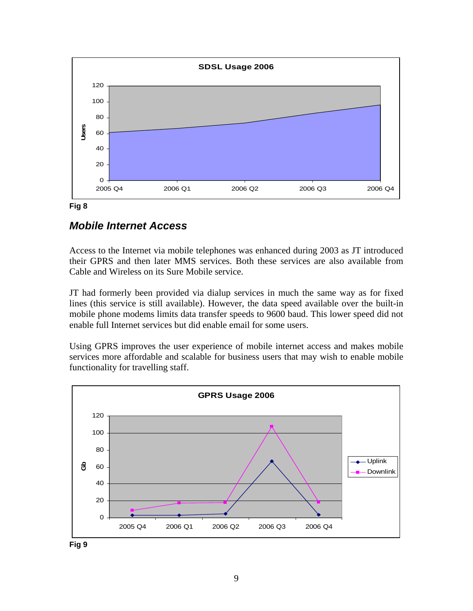<span id="page-8-0"></span>

#### **Fig 8**

### *Mobile Internet Access*

Access to the Internet via mobile telephones was enhanced during 2003 as JT introduced their GPRS and then later MMS services. Both these services are also available from Cable and Wireless on its Sure Mobile service.

JT had formerly been provided via dialup services in much the same way as for fixed lines (this service is still available). However, the data speed available over the built-in mobile phone modems limits data transfer speeds to 9600 baud. This lower speed did not enable full Internet services but did enable email for some users.

Using GPRS improves the user experience of mobile internet access and makes mobile services more affordable and scalable for business users that may wish to enable mobile functionality for travelling staff.

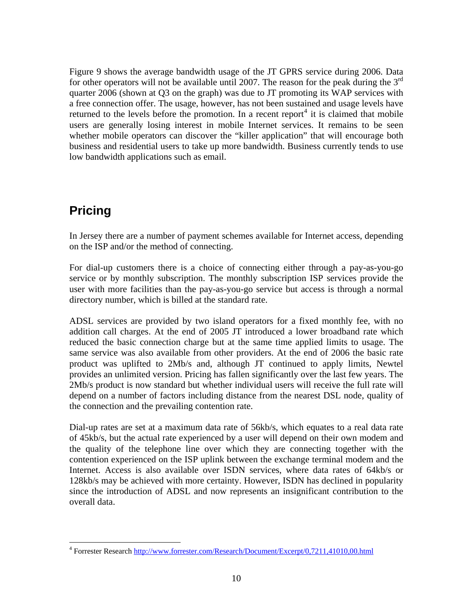<span id="page-9-0"></span>Figure 9 shows the average bandwidth usage of the JT GPRS service during 2006. Data for other operators will not be available until 2007. The reason for the peak during the  $3<sup>rd</sup>$ quarter 2006 (shown at Q3 on the graph) was due to JT promoting its WAP services with a free connection offer. The usage, however, has not been sustained and usage levels have returned to the levels before the promotion. In a recent report<sup>[4](#page-9-1)</sup> it is claimed that mobile users are generally losing interest in mobile Internet services. It remains to be seen whether mobile operators can discover the "killer application" that will encourage both business and residential users to take up more bandwidth. Business currently tends to use low bandwidth applications such as email.

# **Pricing**

 $\overline{a}$ 

In Jersey there are a number of payment schemes available for Internet access, depending on the ISP and/or the method of connecting.

For dial-up customers there is a choice of connecting either through a pay-as-you-go service or by monthly subscription. The monthly subscription ISP services provide the user with more facilities than the pay-as-you-go service but access is through a normal directory number, which is billed at the standard rate.

ADSL services are provided by two island operators for a fixed monthly fee, with no addition call charges. At the end of 2005 JT introduced a lower broadband rate which reduced the basic connection charge but at the same time applied limits to usage. The same service was also available from other providers. At the end of 2006 the basic rate product was uplifted to 2Mb/s and, although JT continued to apply limits, Newtel provides an unlimited version. Pricing has fallen significantly over the last few years. The 2Mb/s product is now standard but whether individual users will receive the full rate will depend on a number of factors including distance from the nearest DSL node, quality of the connection and the prevailing contention rate.

Dial-up rates are set at a maximum data rate of 56kb/s, which equates to a real data rate of 45kb/s, but the actual rate experienced by a user will depend on their own modem and the quality of the telephone line over which they are connecting together with the contention experienced on the ISP uplink between the exchange terminal modem and the Internet. Access is also available over ISDN services, where data rates of 64kb/s or 128kb/s may be achieved with more certainty. However, ISDN has declined in popularity since the introduction of ADSL and now represents an insignificant contribution to the overall data.

<span id="page-9-1"></span><sup>&</sup>lt;sup>4</sup> Forrester Research http://www.forrester.com/Research/Document/Excerpt/0,7211,41010,00.html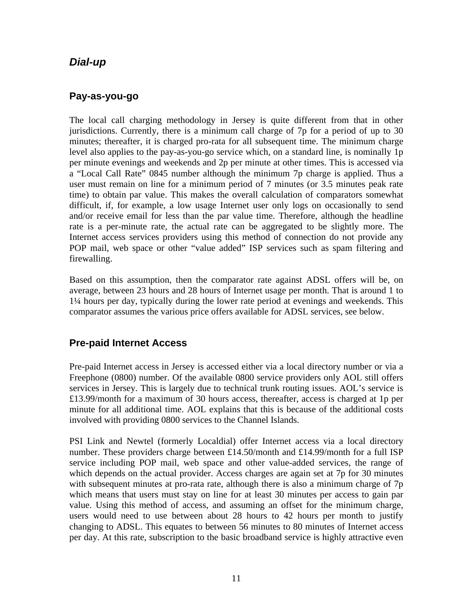### <span id="page-10-0"></span>*Dial-up*

### **Pay-as-you-go**

The local call charging methodology in Jersey is quite different from that in other jurisdictions. Currently, there is a minimum call charge of 7p for a period of up to 30 minutes; thereafter, it is charged pro-rata for all subsequent time. The minimum charge level also applies to the pay-as-you-go service which, on a standard line, is nominally 1p per minute evenings and weekends and 2p per minute at other times. This is accessed via a "Local Call Rate" 0845 number although the minimum 7p charge is applied. Thus a user must remain on line for a minimum period of 7 minutes (or 3.5 minutes peak rate time) to obtain par value. This makes the overall calculation of comparators somewhat difficult, if, for example, a low usage Internet user only logs on occasionally to send and/or receive email for less than the par value time. Therefore, although the headline rate is a per-minute rate, the actual rate can be aggregated to be slightly more. The Internet access services providers using this method of connection do not provide any POP mail, web space or other "value added" ISP services such as spam filtering and firewalling.

Based on this assumption, then the comparator rate against ADSL offers will be, on average, between 23 hours and 28 hours of Internet usage per month. That is around 1 to 1¼ hours per day, typically during the lower rate period at evenings and weekends. This comparator assumes the various price offers available for ADSL services, see below.

### **Pre-paid Internet Access**

Pre-paid Internet access in Jersey is accessed either via a local directory number or via a Freephone (0800) number. Of the available 0800 service providers only AOL still offers services in Jersey. This is largely due to technical trunk routing issues. AOL's service is £13.99/month for a maximum of 30 hours access, thereafter, access is charged at 1p per minute for all additional time. AOL explains that this is because of the additional costs involved with providing 0800 services to the Channel Islands.

PSI Link and Newtel (formerly Localdial) offer Internet access via a local directory number. These providers charge between £14.50/month and £14.99/month for a full ISP service including POP mail, web space and other value-added services, the range of which depends on the actual provider. Access charges are again set at 7p for 30 minutes with subsequent minutes at pro-rata rate, although there is also a minimum charge of 7p which means that users must stay on line for at least 30 minutes per access to gain par value. Using this method of access, and assuming an offset for the minimum charge, users would need to use between about 28 hours to 42 hours per month to justify changing to ADSL. This equates to between 56 minutes to 80 minutes of Internet access per day. At this rate, subscription to the basic broadband service is highly attractive even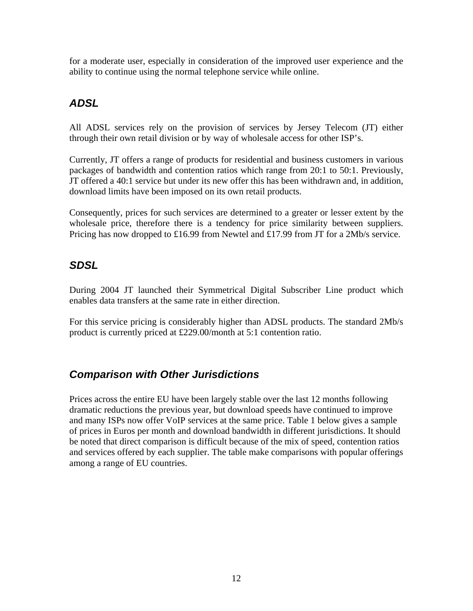<span id="page-11-0"></span>for a moderate user, especially in consideration of the improved user experience and the ability to continue using the normal telephone service while online.

### *ADSL*

All ADSL services rely on the provision of services by Jersey Telecom (JT) either through their own retail division or by way of wholesale access for other ISP's.

Currently, JT offers a range of products for residential and business customers in various packages of bandwidth and contention ratios which range from 20:1 to 50:1. Previously, JT offered a 40:1 service but under its new offer this has been withdrawn and, in addition, download limits have been imposed on its own retail products.

Consequently, prices for such services are determined to a greater or lesser extent by the wholesale price, therefore there is a tendency for price similarity between suppliers. Pricing has now dropped to £16.99 from Newtel and £17.99 from JT for a 2Mb/s service.

### *SDSL*

During 2004 JT launched their Symmetrical Digital Subscriber Line product which enables data transfers at the same rate in either direction.

For this service pricing is considerably higher than ADSL products. The standard 2Mb/s product is currently priced at £229.00/month at 5:1 contention ratio.

### *Comparison with Other Jurisdictions*

Prices across the entire EU have been largely stable over the last 12 months following dramatic reductions the previous year, but download speeds have continued to improve and many ISPs now offer VoIP services at the same price. Table 1 below gives a sample of prices in Euros per month and download bandwidth in different jurisdictions. It should be noted that direct comparison is difficult because of the mix of speed, contention ratios and services offered by each supplier. The table make comparisons with popular offerings among a range of EU countries.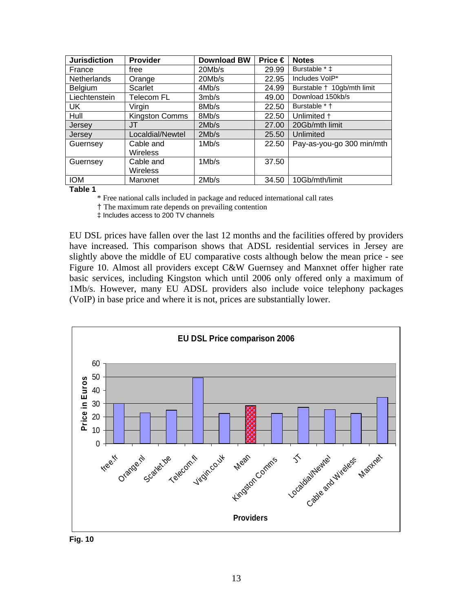| <b>Jurisdiction</b> | <b>Provider</b>  | <b>Download BW</b> | Price € | <b>Notes</b>               |
|---------------------|------------------|--------------------|---------|----------------------------|
| France              | free             | 20Mb/s             | 29.99   | Burstable * ‡              |
| <b>Netherlands</b>  | Orange           | 20Mb/s             | 22.95   | Includes VoIP*             |
| <b>Belgium</b>      | Scarlet          | 4Mb/s              | 24.99   | Burstable † 10gb/mth limit |
| Liechtenstein       | Telecom FL       | 3mb/s              | 49.00   | Download 150kb/s           |
| UK                  | Virgin           | 8Mb/s              | 22.50   | Burstable * +              |
| Hull                | Kingston Comms   | 8Mb/s              | 22.50   | Unlimited +                |
| Jersey              | JT               | 2Mb/s              | 27.00   | 20Gb/mth limit             |
| Jersey              | Localdial/Newtel | 2Mb/s              | 25.50   | Unlimited                  |
| Guernsey            | Cable and        | 1Mb/s              | 22.50   | Pay-as-you-go 300 min/mth  |
|                     | <b>Wireless</b>  |                    |         |                            |
| Guernsey            | Cable and        | 1Mb/s              | 37.50   |                            |
|                     | <b>Wireless</b>  |                    |         |                            |
| <b>IOM</b>          | Manxnet          | 2Mb/s              | 34.50   | 10Gb/mth/limit             |

**Table 1** 

\* Free national calls included in package and reduced international call rates

† The maximum rate depends on prevailing contention

‡ Includes access to 200 TV channels

EU DSL prices have fallen over the last 12 months and the facilities offered by providers have increased. This comparison shows that ADSL residential services in Jersey are slightly above the middle of EU comparative costs although below the mean price - see Figure 10. Almost all providers except C&W Guernsey and Manxnet offer higher rate basic services, including Kingston which until 2006 only offered only a maximum of 1Mb/s. However, many EU ADSL providers also include voice telephony packages (VoIP) in base price and where it is not, prices are substantially lower.



**Fig. 10**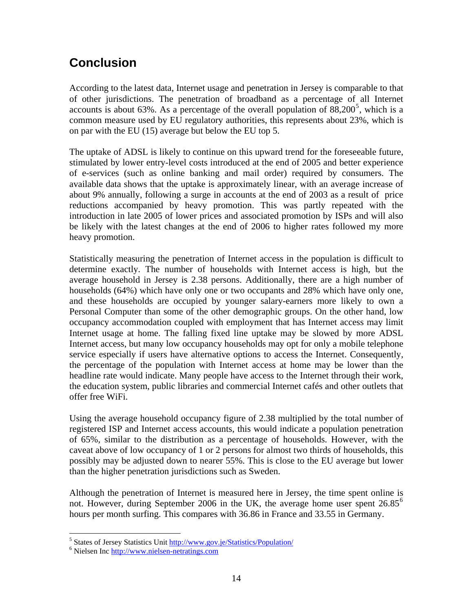# <span id="page-13-0"></span>**Conclusion**

According to the latest data, Internet usage and penetration in Jersey is comparable to that of other jurisdictions. The penetration of broadband as a percentage of all Internet accounts is about 63%. As a percentage of the overall population of  $88,200^5$  $88,200^5$ , which is a common measure used by EU regulatory authorities, this represents about 23%, which is on par with the EU (15) average but below the EU top 5.

The uptake of ADSL is likely to continue on this upward trend for the foreseeable future, stimulated by lower entry-level costs introduced at the end of 2005 and better experience of e-services (such as online banking and mail order) required by consumers. The available data shows that the uptake is approximately linear, with an average increase of about 9% annually, following a surge in accounts at the end of 2003 as a result of price reductions accompanied by heavy promotion. This was partly repeated with the introduction in late 2005 of lower prices and associated promotion by ISPs and will also be likely with the latest changes at the end of 2006 to higher rates followed my more heavy promotion.

Statistically measuring the penetration of Internet access in the population is difficult to determine exactly. The number of households with Internet access is high, but the average household in Jersey is 2.38 persons. Additionally, there are a high number of households (64%) which have only one or two occupants and 28% which have only one, and these households are occupied by younger salary-earners more likely to own a Personal Computer than some of the other demographic groups. On the other hand, low occupancy accommodation coupled with employment that has Internet access may limit Internet usage at home. The falling fixed line uptake may be slowed by more ADSL Internet access, but many low occupancy households may opt for only a mobile telephone service especially if users have alternative options to access the Internet. Consequently, the percentage of the population with Internet access at home may be lower than the headline rate would indicate. Many people have access to the Internet through their work, the education system, public libraries and commercial Internet cafés and other outlets that offer free WiFi.

Using the average household occupancy figure of 2.38 multiplied by the total number of registered ISP and Internet access accounts, this would indicate a population penetration of 65%, similar to the distribution as a percentage of households. However, with the caveat above of low occupancy of 1 or 2 persons for almost two thirds of households, this possibly may be adjusted down to nearer 55%. This is close to the EU average but lower than the higher penetration jurisdictions such as Sweden.

Although the penetration of Internet is measured here in Jersey, the time spent online is not. However, during September 200[6](#page-13-2) in the UK, the average home user spent  $26.85^{\circ}$ hours per month surfing. This compares with 36.86 in France and 33.55 in Germany.

 $\overline{a}$ 

<span id="page-13-1"></span><sup>&</sup>lt;sup>5</sup> States of Jersey Statistics Unit  $\frac{http://www.gov.je/Statisfies/Population/}{http://www.gov.je/Statisfies/Population/}$ 

<span id="page-13-2"></span>Nielsen Inc [http://www.nielsen-netratings.com](http://www.nielsen-netratings.com/)